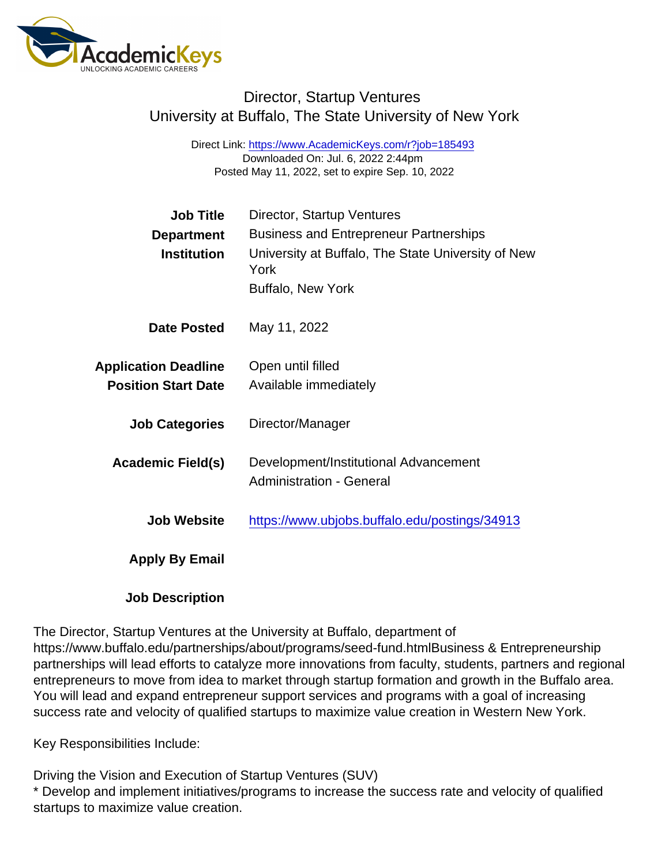# Director, Startup Ventures University at Buffalo, The State University of New York

Direct Link: <https://www.AcademicKeys.com/r?job=185493> Downloaded On: Jul. 6, 2022 2:44pm Posted May 11, 2022, set to expire Sep. 10, 2022

| <b>Job Title</b>            | Director, Startup Ventures                                 |
|-----------------------------|------------------------------------------------------------|
| Department                  | <b>Business and Entrepreneur Partnerships</b>              |
| Institution                 | University at Buffalo, The State University of New<br>York |
|                             | <b>Buffalo, New York</b>                                   |
| Date Posted                 | May 11, 2022                                               |
| <b>Application Deadline</b> | Open until filled                                          |
| <b>Position Start Date</b>  | Available immediately                                      |
| <b>Job Categories</b>       | Director/Manager                                           |
| Academic Field(s)           | Development/Institutional Advancement                      |
|                             | <b>Administration - General</b>                            |
| Job Website                 | https://www.ubjobs.buffalo.edu/postings/34913              |
| Apply By Email              |                                                            |
|                             |                                                            |

Job Description

The Director, Startup Ventures at the University at Buffalo, department of https://www.buffalo.edu/partnerships/about/programs/seed-fund.htmlBusiness & Entrepreneurship partnerships will lead efforts to catalyze more innovations from faculty, students, partners and regional entrepreneurs to move from idea to market through startup formation and growth in the Buffalo area. You will lead and expand entrepreneur support services and programs with a goal of increasing success rate and velocity of qualified startups to maximize value creation in Western New York.

Key Responsibilities Include:

Driving the Vision and Execution of Startup Ventures (SUV) \* Develop and implement initiatives/programs to increase the success rate and velocity of qualified startups to maximize value creation.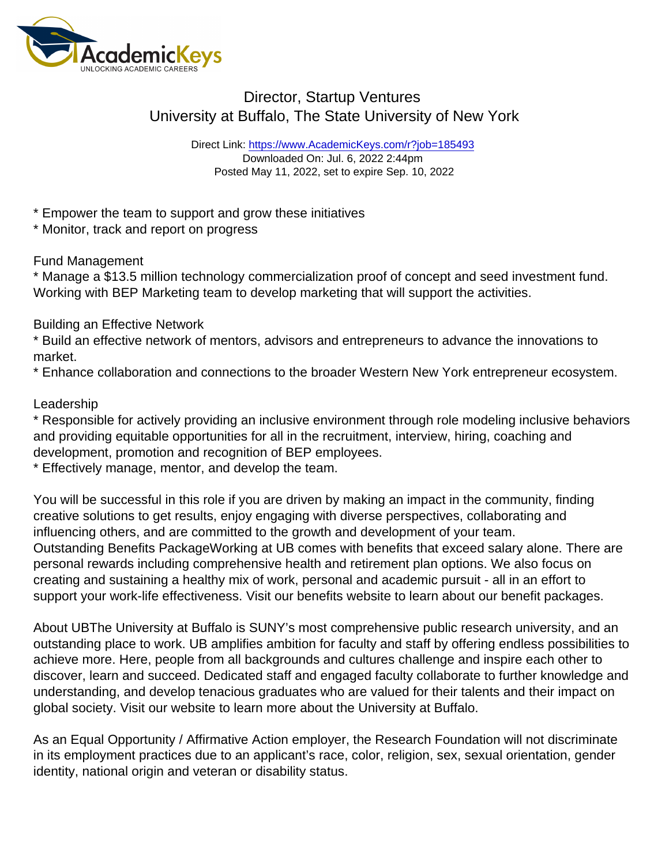# Director, Startup Ventures University at Buffalo, The State University of New York

Direct Link: <https://www.AcademicKeys.com/r?job=185493> Downloaded On: Jul. 6, 2022 2:44pm Posted May 11, 2022, set to expire Sep. 10, 2022

\* Empower the team to support and grow these initiatives

\* Monitor, track and report on progress

### Fund Management

\* Manage a \$13.5 million technology commercialization proof of concept and seed investment fund. Working with BEP Marketing team to develop marketing that will support the activities.

### Building an Effective Network

\* Build an effective network of mentors, advisors and entrepreneurs to advance the innovations to market.

\* Enhance collaboration and connections to the broader Western New York entrepreneur ecosystem.

### Leadership

\* Responsible for actively providing an inclusive environment through role modeling inclusive behaviors and providing equitable opportunities for all in the recruitment, interview, hiring, coaching and development, promotion and recognition of BEP employees.

\* Effectively manage, mentor, and develop the team.

You will be successful in this role if you are driven by making an impact in the community, finding creative solutions to get results, enjoy engaging with diverse perspectives, collaborating and influencing others, and are committed to the growth and development of your team. Outstanding Benefits PackageWorking at UB comes with benefits that exceed salary alone. There are personal rewards including comprehensive health and retirement plan options. We also focus on creating and sustaining a healthy mix of work, personal and academic pursuit - all in an effort to support your work-life effectiveness. Visit our benefits website to learn about our benefit packages.

About UBThe University at Buffalo is SUNY's most comprehensive public research university, and an outstanding place to work. UB amplifies ambition for faculty and staff by offering endless possibilities to achieve more. Here, people from all backgrounds and cultures challenge and inspire each other to discover, learn and succeed. Dedicated staff and engaged faculty collaborate to further knowledge and understanding, and develop tenacious graduates who are valued for their talents and their impact on global society. Visit our website to learn more about the University at Buffalo.

As an Equal Opportunity / Affirmative Action employer, the Research Foundation will not discriminate in its employment practices due to an applicant's race, color, religion, sex, sexual orientation, gender identity, national origin and veteran or disability status.